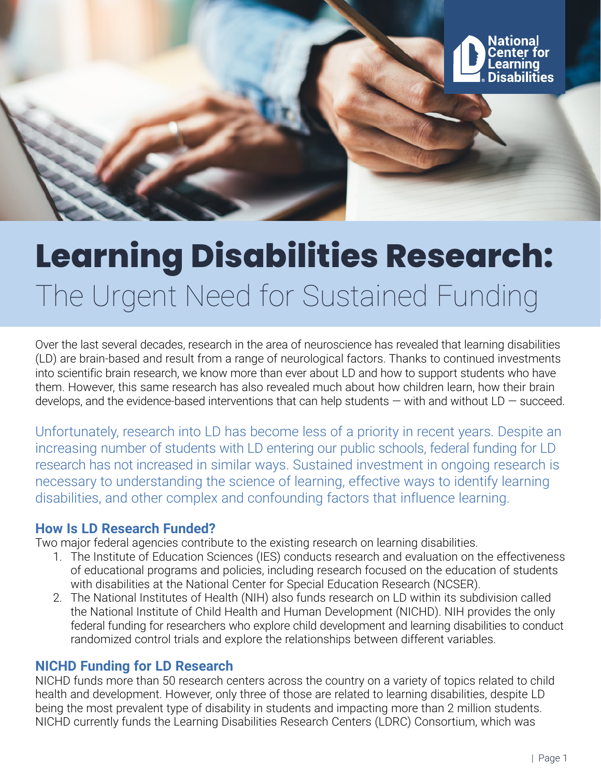

# **Learning Disabilities Research:** The Urgent Need for Sustained Funding

Over the last several decades, research in the area of neuroscience has revealed that learning disabilities (LD) are brain-based and result from a range of neurological factors. Thanks to continued investments into scientific brain research, we know more than ever about LD and how to support students who have them. However, this same research has also revealed much about how children learn, how their brain develops, and the evidence-based interventions that can help students  $-$  with and without LD  $-$  succeed.

Unfortunately, research into LD has become less of a priority in recent years. Despite an increasing number of students with LD entering our public schools, federal funding for LD research has not increased in similar ways. Sustained investment in ongoing research is necessary to understanding the science of learning, effective ways to identify learning disabilities, and other complex and confounding factors that influence learning.

# **How Is LD Research Funded?**

Two major federal agencies contribute to the existing research on learning disabilities.

- 1. The Institute of Education Sciences (IES) conducts research and evaluation on the effectiveness of educational programs and policies, including research focused on the education of students with disabilities at the National Center for Special Education Research (NCSER).
- 2. The National Institutes of Health (NIH) also funds research on LD within its subdivision called the National Institute of Child Health and Human Development (NICHD). NIH provides the only federal funding for researchers who explore child development and learning disabilities to conduct randomized control trials and explore the relationships between different variables.

# **NICHD Funding for LD Research**

NICHD funds more than 50 research centers across the country on a variety of topics related to child health and development. However, only three of those are related to learning disabilities, despite LD being the most prevalent type of disability in students and impacting more than 2 million students. NICHD currently funds the Learning Disabilities Research Centers (LDRC) Consortium, which was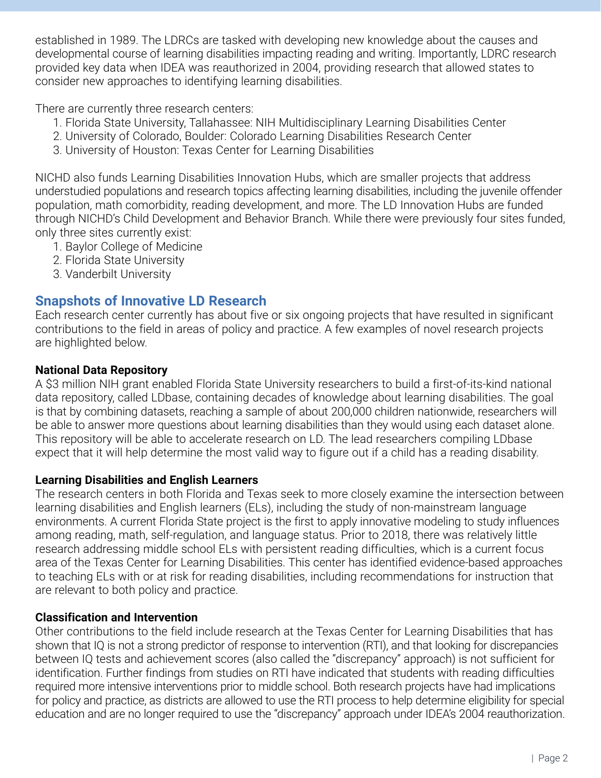established in 1989. The LDRCs are tasked with developing new knowledge about the causes and developmental course of learning disabilities impacting reading and writing. Importantly, LDRC research provided key data when IDEA was reauthorized in 2004, providing research that allowed states to consider new approaches to identifying learning disabilities.

There are currently three research centers:

- 1. Florida State University, Tallahassee: NIH Multidisciplinary Learning Disabilities Center
- 2. University of Colorado, Boulder: Colorado Learning Disabilities Research Center
- 3. University of Houston: Texas Center for Learning Disabilities

NICHD also funds Learning Disabilities Innovation Hubs, which are smaller projects that address understudied populations and research topics affecting learning disabilities, including the juvenile offender population, math comorbidity, reading development, and more. The LD Innovation Hubs are funded through NICHD's Child Development and Behavior Branch. While there were previously four sites funded, only three sites currently exist:

- 1. Baylor College of Medicine
- 2. Florida State University
- 3. Vanderbilt University

# **Snapshots of Innovative LD Research**

Each research center currently has about five or six ongoing projects that have resulted in significant contributions to the field in areas of policy and practice. A few examples of novel research projects are highlighted below.

### **National Data Repository**

A \$3 million NIH grant enabled Florida State University researchers to build a first-of-its-kind national data repository, called LDbase, containing decades of knowledge about learning disabilities. The goal is that by combining datasets, reaching a sample of about 200,000 children nationwide, researchers will be able to answer more questions about learning disabilities than they would using each dataset alone. This repository will be able to accelerate research on LD. The lead researchers compiling LDbase expect that it will help determine the most valid way to figure out if a child has a reading disability.

#### **Learning Disabilities and English Learners**

The research centers in both Florida and Texas seek to more closely examine the intersection between learning disabilities and English learners (ELs), including the study of non-mainstream language environments. A current Florida State project is the first to apply innovative modeling to study influences among reading, math, self-regulation, and language status. Prior to 2018, there was relatively little research addressing middle school ELs with persistent reading difficulties, which is a current focus area of the Texas Center for Learning Disabilities. This center has identified evidence-based approaches to teaching ELs with or at risk for reading disabilities, including recommendations for instruction that are relevant to both policy and practice.

#### **Classification and Intervention**

Other contributions to the field include research at the Texas Center for Learning Disabilities that has shown that IQ is not a strong predictor of response to intervention (RTI), and that looking for discrepancies between IQ tests and achievement scores (also called the "discrepancy" approach) is not sufficient for identification. Further findings from studies on RTI have indicated that students with reading difficulties required more intensive interventions prior to middle school. Both research projects have had implications for policy and practice, as districts are allowed to use the RTI process to help determine eligibility for special education and are no longer required to use the "discrepancy" approach under IDEA's 2004 reauthorization.